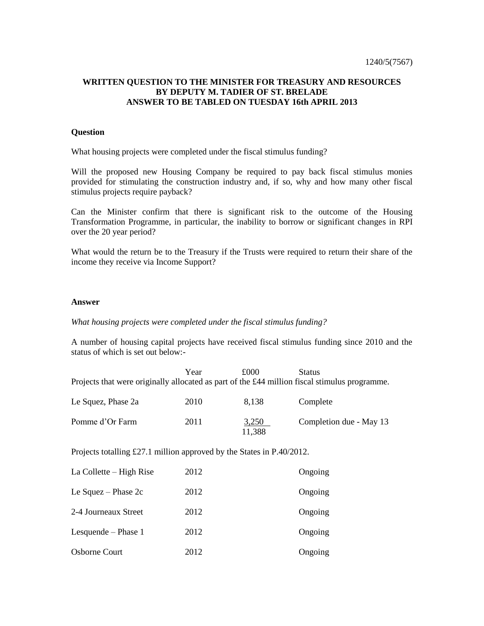## **WRITTEN QUESTION TO THE MINISTER FOR TREASURY AND RESOURCES BY DEPUTY M. TADIER OF ST. BRELADE ANSWER TO BE TABLED ON TUESDAY 16th APRIL 2013**

## **Question**

What housing projects were completed under the fiscal stimulus funding?

Will the proposed new Housing Company be required to pay back fiscal stimulus monies provided for stimulating the construction industry and, if so, why and how many other fiscal stimulus projects require payback?

Can the Minister confirm that there is significant risk to the outcome of the Housing Transformation Programme, in particular, the inability to borrow or significant changes in RPI over the 20 year period?

What would the return be to the Treasury if the Trusts were required to return their share of the income they receive via Income Support?

## **Answer**

*What housing projects were completed under the fiscal stimulus funding?*

A number of housing capital projects have received fiscal stimulus funding since 2010 and the status of which is set out below:-

| Projects that were originally allocated as part of the £44 million fiscal stimulus programme. | Year | £000            | <b>Status</b>           |  |
|-----------------------------------------------------------------------------------------------|------|-----------------|-------------------------|--|
| Le Squez, Phase 2a                                                                            | 2010 | 8,138           | Complete                |  |
| Pomme d'Or Farm                                                                               | 2011 | 3,250<br>11,388 | Completion due - May 13 |  |
| Projects totalling £27.1 million approved by the States in $P.40/2012$ .                      |      |                 |                         |  |
| La Collette $-$ High Rise                                                                     | 2012 |                 | Ongoing                 |  |
| Le Squez – Phase $2c$                                                                         | 2012 |                 | Ongoing                 |  |
| 2-4 Journeaux Street                                                                          | 2012 |                 | Ongoing                 |  |
| Lesquende – Phase 1                                                                           | 2012 |                 | Ongoing                 |  |
| <b>Osborne Court</b>                                                                          | 2012 |                 | Ongoing                 |  |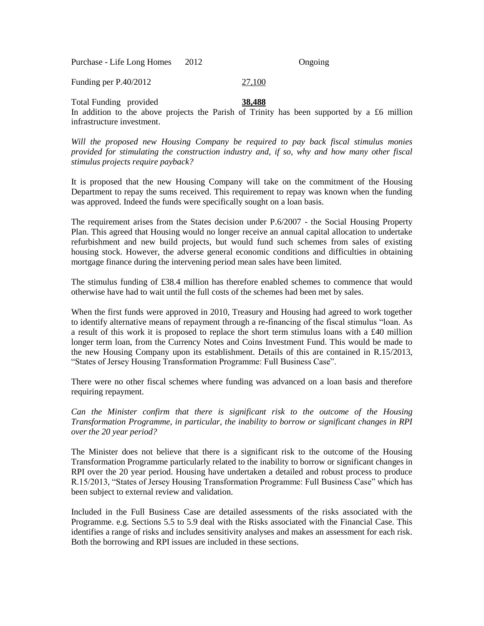| Purchase - Life Long Homes | 2012 | Ongoing |
|----------------------------|------|---------|
|----------------------------|------|---------|

Funding per P.40/2012 27,100

Total Funding provided **38,488** In addition to the above projects the Parish of Trinity has been supported by a £6 million infrastructure investment.

*Will the proposed new Housing Company be required to pay back fiscal stimulus monies provided for stimulating the construction industry and, if so, why and how many other fiscal stimulus projects require payback?*

It is proposed that the new Housing Company will take on the commitment of the Housing Department to repay the sums received. This requirement to repay was known when the funding was approved. Indeed the funds were specifically sought on a loan basis.

The requirement arises from the States decision under P.6/2007 - the Social Housing Property Plan. This agreed that Housing would no longer receive an annual capital allocation to undertake refurbishment and new build projects, but would fund such schemes from sales of existing housing stock. However, the adverse general economic conditions and difficulties in obtaining mortgage finance during the intervening period mean sales have been limited.

The stimulus funding of £38.4 million has therefore enabled schemes to commence that would otherwise have had to wait until the full costs of the schemes had been met by sales.

When the first funds were approved in 2010, Treasury and Housing had agreed to work together to identify alternative means of repayment through a re-financing of the fiscal stimulus "loan. As a result of this work it is proposed to replace the short term stimulus loans with a £40 million longer term loan, from the Currency Notes and Coins Investment Fund. This would be made to the new Housing Company upon its establishment. Details of this are contained in R.15/2013, "States of Jersey Housing Transformation Programme: Full Business Case".

There were no other fiscal schemes where funding was advanced on a loan basis and therefore requiring repayment.

*Can the Minister confirm that there is significant risk to the outcome of the Housing Transformation Programme, in particular, the inability to borrow or significant changes in RPI over the 20 year period?*

The Minister does not believe that there is a significant risk to the outcome of the Housing Transformation Programme particularly related to the inability to borrow or significant changes in RPI over the 20 year period. Housing have undertaken a detailed and robust process to produce R.15/2013, "States of Jersey Housing Transformation Programme: Full Business Case" which has been subject to external review and validation.

Included in the Full Business Case are detailed assessments of the risks associated with the Programme. e.g. Sections 5.5 to 5.9 deal with the Risks associated with the Financial Case. This identifies a range of risks and includes sensitivity analyses and makes an assessment for each risk. Both the borrowing and RPI issues are included in these sections.